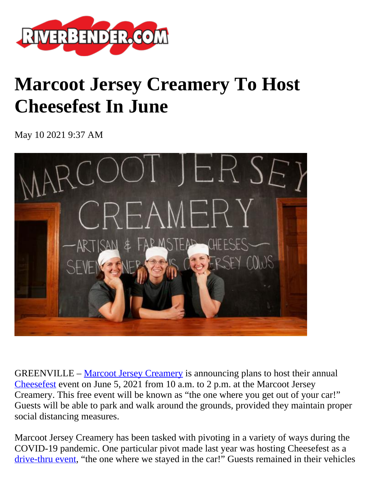

## **Marcoot Jersey Creamery To Host Cheesefest In June**

May 10 2021 9:37 AM



GREENVILLE – [Marcoot Jersey Creamery](https://marcootjerseycreamery.com/) is announcing plans to host their annual [Cheesefest](https://marcootjerseycreamery.com/events) event on June 5, 2021 from 10 a.m. to 2 p.m. at the Marcoot Jersey Creamery. This free event will be known as "the one where you get out of your car!" Guests will be able to park and walk around the grounds, provided they maintain proper social distancing measures.

Marcoot Jersey Creamery has been tasked with pivoting in a variety of ways during the COVID-19 pandemic. One particular pivot made last year was hosting Cheesefest as a [drive-thru event](https://marcootjerseycreamery.com/cheesefest), "the one where we stayed in the car!" Guests remained in their vehicles